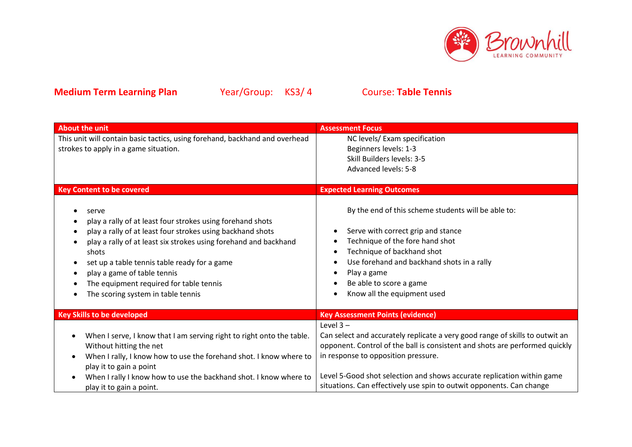

| <b>About the unit</b>                                                                                                                                                                                                                                                                                                                                                                                    | <b>Assessment Focus</b>                                                                                                                                                                                                                                                           |  |
|----------------------------------------------------------------------------------------------------------------------------------------------------------------------------------------------------------------------------------------------------------------------------------------------------------------------------------------------------------------------------------------------------------|-----------------------------------------------------------------------------------------------------------------------------------------------------------------------------------------------------------------------------------------------------------------------------------|--|
| This unit will contain basic tactics, using forehand, backhand and overhead                                                                                                                                                                                                                                                                                                                              | NC levels/ Exam specification                                                                                                                                                                                                                                                     |  |
| strokes to apply in a game situation.                                                                                                                                                                                                                                                                                                                                                                    | Beginners levels: 1-3                                                                                                                                                                                                                                                             |  |
|                                                                                                                                                                                                                                                                                                                                                                                                          | Skill Builders levels: 3-5                                                                                                                                                                                                                                                        |  |
|                                                                                                                                                                                                                                                                                                                                                                                                          | <b>Advanced levels: 5-8</b>                                                                                                                                                                                                                                                       |  |
|                                                                                                                                                                                                                                                                                                                                                                                                          |                                                                                                                                                                                                                                                                                   |  |
| <b>Key Content to be covered</b>                                                                                                                                                                                                                                                                                                                                                                         | <b>Expected Learning Outcomes</b>                                                                                                                                                                                                                                                 |  |
| serve<br>play a rally of at least four strokes using forehand shots<br>play a rally of at least four strokes using backhand shots<br>play a rally of at least six strokes using forehand and backhand<br>shots<br>set up a table tennis table ready for a game<br>$\bullet$<br>play a game of table tennis<br>$\bullet$<br>The equipment required for table tennis<br>The scoring system in table tennis | By the end of this scheme students will be able to:<br>Serve with correct grip and stance<br>Technique of the fore hand shot<br>Technique of backhand shot<br>Use forehand and backhand shots in a rally<br>Play a game<br>Be able to score a game<br>Know all the equipment used |  |
| <b>Key Skills to be developed</b>                                                                                                                                                                                                                                                                                                                                                                        | <b>Key Assessment Points (evidence)</b>                                                                                                                                                                                                                                           |  |
|                                                                                                                                                                                                                                                                                                                                                                                                          | Level $3 -$                                                                                                                                                                                                                                                                       |  |
| When I serve, I know that I am serving right to right onto the table.                                                                                                                                                                                                                                                                                                                                    | Can select and accurately replicate a very good range of skills to outwit an                                                                                                                                                                                                      |  |
| Without hitting the net                                                                                                                                                                                                                                                                                                                                                                                  | opponent. Control of the ball is consistent and shots are performed quickly                                                                                                                                                                                                       |  |
| When I rally, I know how to use the forehand shot. I know where to<br>٠                                                                                                                                                                                                                                                                                                                                  | in response to opposition pressure.                                                                                                                                                                                                                                               |  |
| play it to gain a point                                                                                                                                                                                                                                                                                                                                                                                  |                                                                                                                                                                                                                                                                                   |  |
| When I rally I know how to use the backhand shot. I know where to                                                                                                                                                                                                                                                                                                                                        | Level 5-Good shot selection and shows accurate replication within game                                                                                                                                                                                                            |  |
| play it to gain a point.                                                                                                                                                                                                                                                                                                                                                                                 | situations. Can effectively use spin to outwit opponents. Can change                                                                                                                                                                                                              |  |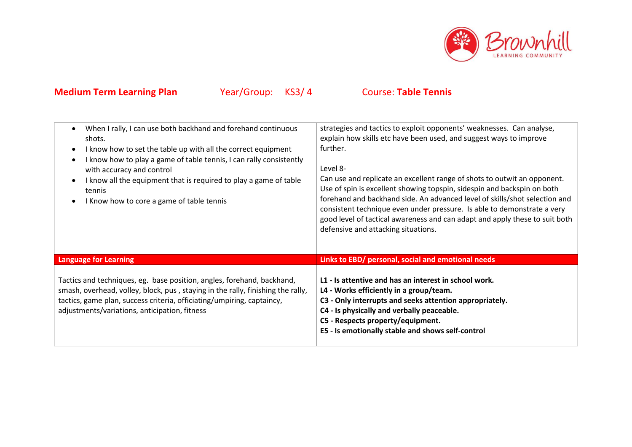

| When I rally, I can use both backhand and forehand continuous<br>shots.<br>I know how to set the table up with all the correct equipment<br>$\bullet$<br>I know how to play a game of table tennis, I can rally consistently<br>$\bullet$<br>with accuracy and control<br>I know all the equipment that is required to play a game of table<br>$\bullet$<br>tennis<br>I Know how to core a game of table tennis<br>$\bullet$ | strategies and tactics to exploit opponents' weaknesses. Can analyse,<br>explain how skills etc have been used, and suggest ways to improve<br>further.<br>Level 8-<br>Can use and replicate an excellent range of shots to outwit an opponent.<br>Use of spin is excellent showing topspin, sidespin and backspin on both<br>forehand and backhand side. An advanced level of skills/shot selection and<br>consistent technique even under pressure. Is able to demonstrate a very<br>good level of tactical awareness and can adapt and apply these to suit both<br>defensive and attacking situations. |  |
|------------------------------------------------------------------------------------------------------------------------------------------------------------------------------------------------------------------------------------------------------------------------------------------------------------------------------------------------------------------------------------------------------------------------------|-----------------------------------------------------------------------------------------------------------------------------------------------------------------------------------------------------------------------------------------------------------------------------------------------------------------------------------------------------------------------------------------------------------------------------------------------------------------------------------------------------------------------------------------------------------------------------------------------------------|--|
| <b>Language for Learning</b>                                                                                                                                                                                                                                                                                                                                                                                                 | Links to EBD/ personal, social and emotional needs                                                                                                                                                                                                                                                                                                                                                                                                                                                                                                                                                        |  |
| Tactics and techniques, eg. base position, angles, forehand, backhand,<br>smash, overhead, volley, block, pus, staying in the rally, finishing the rally,<br>tactics, game plan, success criteria, officiating/umpiring, captaincy,<br>adjustments/variations, anticipation, fitness                                                                                                                                         | L1 - Is attentive and has an interest in school work.<br>L4 - Works efficiently in a group/team.<br>C3 - Only interrupts and seeks attention appropriately.<br>C4 - Is physically and verbally peaceable.<br>C5 - Respects property/equipment.<br>E5 - Is emotionally stable and shows self-control                                                                                                                                                                                                                                                                                                       |  |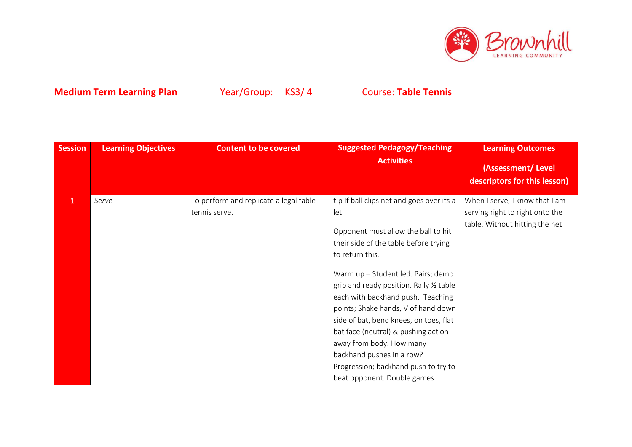

| <b>Session</b> | <b>Learning Objectives</b> | <b>Content to be covered</b>                            | <b>Suggested Pedagogy/Teaching</b><br><b>Activities</b>                                                                                                                                                                                                                                                                                                                                                                                                      | <b>Learning Outcomes</b><br>(Assessment/Level                                                       |
|----------------|----------------------------|---------------------------------------------------------|--------------------------------------------------------------------------------------------------------------------------------------------------------------------------------------------------------------------------------------------------------------------------------------------------------------------------------------------------------------------------------------------------------------------------------------------------------------|-----------------------------------------------------------------------------------------------------|
|                |                            |                                                         |                                                                                                                                                                                                                                                                                                                                                                                                                                                              | descriptors for this lesson)                                                                        |
| $\mathbf{1}$   | Serve                      | To perform and replicate a legal table<br>tennis serve. | t.p If ball clips net and goes over its a<br>let.<br>Opponent must allow the ball to hit<br>their side of the table before trying<br>to return this.<br>Warm up - Student led. Pairs; demo<br>grip and ready position. Rally 1/2 table<br>each with backhand push. Teaching<br>points; Shake hands, V of hand down<br>side of bat, bend knees, on toes, flat<br>bat face (neutral) & pushing action<br>away from body. How many<br>backhand pushes in a row? | When I serve, I know that I am<br>serving right to right onto the<br>table. Without hitting the net |
|                |                            |                                                         | Progression; backhand push to try to<br>beat opponent. Double games                                                                                                                                                                                                                                                                                                                                                                                          |                                                                                                     |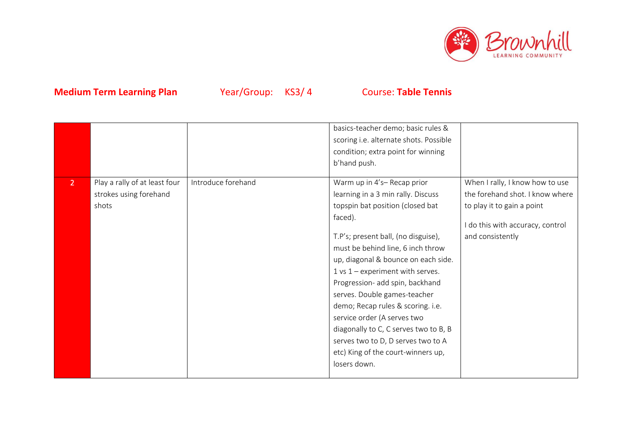

|                |                                                                  |                    | basics-teacher demo; basic rules &<br>scoring i.e. alternate shots. Possible<br>condition; extra point for winning<br>b'hand push.                                                                                                                                                                                                                                                                                                                                                                                                                     |                                                                                                                                                          |
|----------------|------------------------------------------------------------------|--------------------|--------------------------------------------------------------------------------------------------------------------------------------------------------------------------------------------------------------------------------------------------------------------------------------------------------------------------------------------------------------------------------------------------------------------------------------------------------------------------------------------------------------------------------------------------------|----------------------------------------------------------------------------------------------------------------------------------------------------------|
| 2 <sup>1</sup> | Play a rally of at least four<br>strokes using forehand<br>shots | Introduce forehand | Warm up in 4's-Recap prior<br>learning in a 3 min rally. Discuss<br>topspin bat position (closed bat<br>faced).<br>T.P's; present ball, (no disguise),<br>must be behind line, 6 inch throw<br>up, diagonal & bounce on each side.<br>$1$ vs $1$ – experiment with serves.<br>Progression- add spin, backhand<br>serves. Double games-teacher<br>demo; Recap rules & scoring. i.e.<br>service order (A serves two<br>diagonally to C, C serves two to B, B<br>serves two to D, D serves two to A<br>etc) King of the court-winners up,<br>losers down. | When I rally, I know how to use<br>the forehand shot. I know where<br>to play it to gain a point<br>I do this with accuracy, control<br>and consistently |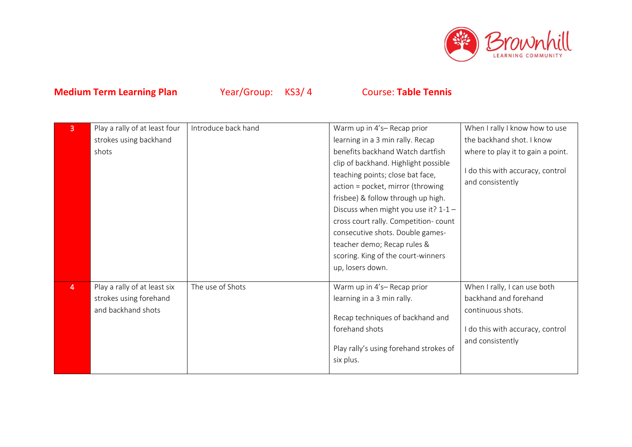

| 3              | Play a rally of at least four | Introduce back hand | Warm up in 4's-Recap prior             | When I rally I know how to use    |
|----------------|-------------------------------|---------------------|----------------------------------------|-----------------------------------|
|                | strokes using backhand        |                     | learning in a 3 min rally. Recap       | the backhand shot. I know         |
|                | shots                         |                     | benefits backhand Watch dartfish       | where to play it to gain a point. |
|                |                               |                     | clip of backhand. Highlight possible   |                                   |
|                |                               |                     | teaching points; close bat face,       | I do this with accuracy, control  |
|                |                               |                     | action = pocket, mirror (throwing      | and consistently                  |
|                |                               |                     | frisbee) & follow through up high.     |                                   |
|                |                               |                     | Discuss when might you use it? $1-1-$  |                                   |
|                |                               |                     | cross court rally. Competition-count   |                                   |
|                |                               |                     | consecutive shots. Double games-       |                                   |
|                |                               |                     | teacher demo; Recap rules &            |                                   |
|                |                               |                     | scoring. King of the court-winners     |                                   |
|                |                               |                     | up, losers down.                       |                                   |
|                |                               |                     |                                        |                                   |
| $\overline{4}$ | Play a rally of at least six  | The use of Shots    | Warm up in 4's-Recap prior             | When I rally, I can use both      |
|                | strokes using forehand        |                     | learning in a 3 min rally.             | backhand and forehand             |
|                | and backhand shots            |                     | Recap techniques of backhand and       | continuous shots.                 |
|                |                               |                     | forehand shots                         | I do this with accuracy, control  |
|                |                               |                     |                                        | and consistently                  |
|                |                               |                     | Play rally's using forehand strokes of |                                   |
|                |                               |                     | six plus.                              |                                   |
|                |                               |                     |                                        |                                   |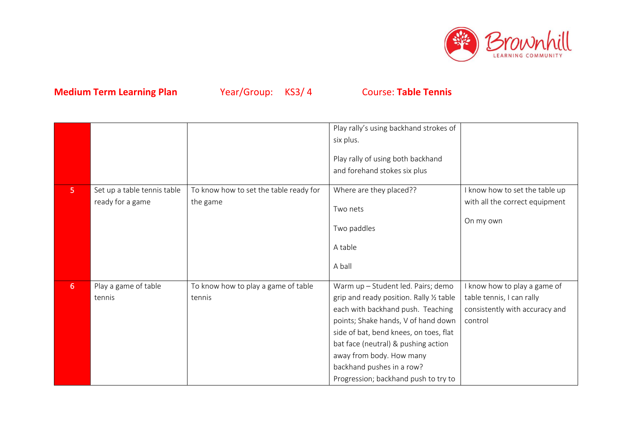

|                |                                                 |                                                    | Play rally's using backhand strokes of<br>six plus.<br>Play rally of using both backhand<br>and forehand stokes six plus                                                                                                                                                                                                                     |                                                                                                        |
|----------------|-------------------------------------------------|----------------------------------------------------|----------------------------------------------------------------------------------------------------------------------------------------------------------------------------------------------------------------------------------------------------------------------------------------------------------------------------------------------|--------------------------------------------------------------------------------------------------------|
| 5 <sub>1</sub> | Set up a table tennis table<br>ready for a game | To know how to set the table ready for<br>the game | Where are they placed??<br>Two nets<br>Two paddles<br>A table<br>A ball                                                                                                                                                                                                                                                                      | I know how to set the table up<br>with all the correct equipment<br>On my own                          |
| 6 <sup>1</sup> | Play a game of table<br>tennis                  | To know how to play a game of table<br>tennis      | Warm up - Student led. Pairs; demo<br>grip and ready position. Rally 1/2 table<br>each with backhand push. Teaching<br>points; Shake hands, V of hand down<br>side of bat, bend knees, on toes, flat<br>bat face (neutral) & pushing action<br>away from body. How many<br>backhand pushes in a row?<br>Progression; backhand push to try to | I know how to play a game of<br>table tennis, I can rally<br>consistently with accuracy and<br>control |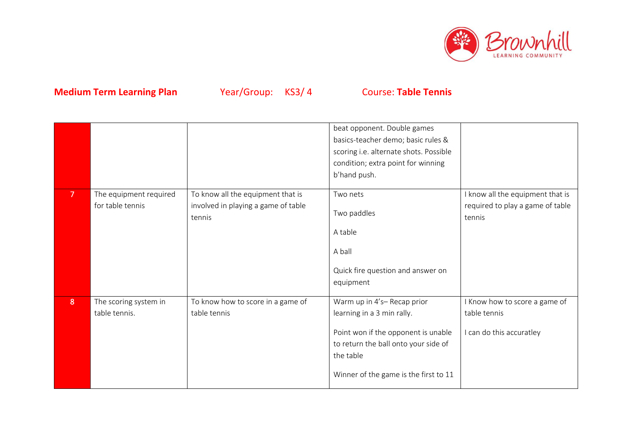

|                |                                            |                                                                                    | beat opponent. Double games<br>basics-teacher demo; basic rules &<br>scoring i.e. alternate shots. Possible<br>condition; extra point for winning<br>b'hand push.                             |                                                                                |
|----------------|--------------------------------------------|------------------------------------------------------------------------------------|-----------------------------------------------------------------------------------------------------------------------------------------------------------------------------------------------|--------------------------------------------------------------------------------|
| $\overline{7}$ | The equipment required<br>for table tennis | To know all the equipment that is<br>involved in playing a game of table<br>tennis | Two nets<br>Two paddles<br>A table<br>A ball<br>Quick fire question and answer on<br>equipment                                                                                                | I know all the equipment that is<br>required to play a game of table<br>tennis |
| 8 <sup>°</sup> | The scoring system in<br>table tennis.     | To know how to score in a game of<br>table tennis                                  | Warm up in 4's-Recap prior<br>learning in a 3 min rally.<br>Point won if the opponent is unable<br>to return the ball onto your side of<br>the table<br>Winner of the game is the first to 11 | I Know how to score a game of<br>table tennis<br>I can do this accuratley      |